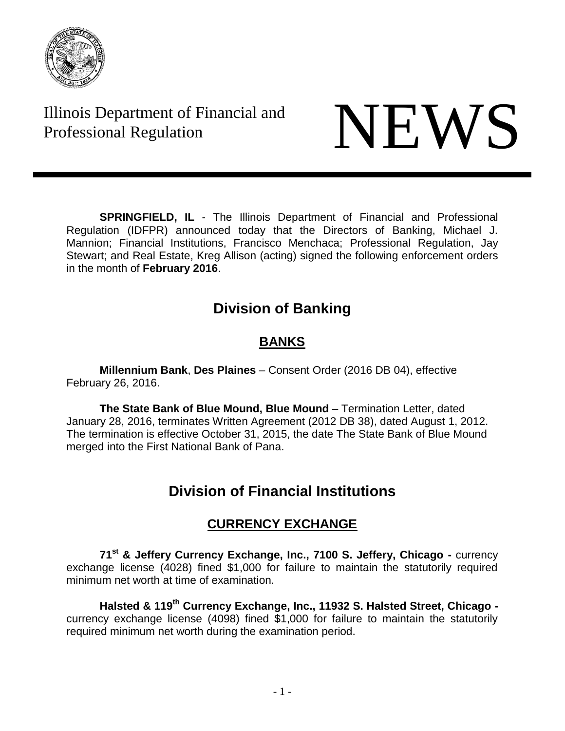

Illinois Department of Financial and Illinois Department of Financial and<br>Professional Regulation



**SPRINGFIELD, IL** - The Illinois Department of Financial and Professional Regulation (IDFPR) announced today that the Directors of Banking, Michael J. Mannion; Financial Institutions, Francisco Menchaca; Professional Regulation, Jay Stewart; and Real Estate, Kreg Allison (acting) signed the following enforcement orders in the month of **February 2016**.

# **Division of Banking**

## **BANKS**

**Millennium Bank**, **Des Plaines** – Consent Order (2016 DB 04), effective February 26, 2016.

**The State Bank of Blue Mound, Blue Mound** – Termination Letter, dated January 28, 2016, terminates Written Agreement (2012 DB 38), dated August 1, 2012. The termination is effective October 31, 2015, the date The State Bank of Blue Mound merged into the First National Bank of Pana.

# **Division of Financial Institutions**

## **CURRENCY EXCHANGE**

**71st & Jeffery Currency Exchange, Inc., 7100 S. Jeffery, Chicago -** currency exchange license (4028) fined \$1,000 for failure to maintain the statutorily required minimum net worth at time of examination.

**Halsted & 119th Currency Exchange, Inc., 11932 S. Halsted Street, Chicago**  currency exchange license (4098) fined \$1,000 for failure to maintain the statutorily required minimum net worth during the examination period.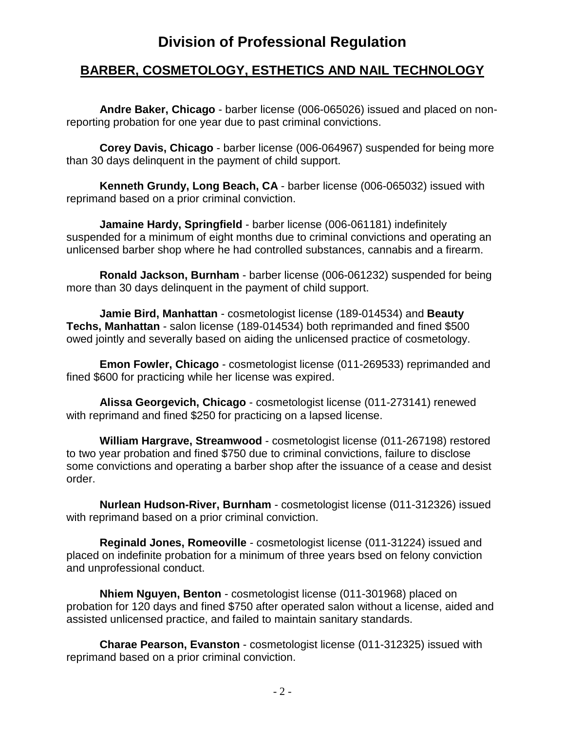## **Division of Professional Regulation**

#### **BARBER, COSMETOLOGY, ESTHETICS AND NAIL TECHNOLOGY**

**Andre Baker, Chicago** - barber license (006-065026) issued and placed on nonreporting probation for one year due to past criminal convictions.

**Corey Davis, Chicago** - barber license (006-064967) suspended for being more than 30 days delinquent in the payment of child support.

**Kenneth Grundy, Long Beach, CA** - barber license (006-065032) issued with reprimand based on a prior criminal conviction.

**Jamaine Hardy, Springfield** - barber license (006-061181) indefinitely suspended for a minimum of eight months due to criminal convictions and operating an unlicensed barber shop where he had controlled substances, cannabis and a firearm.

**Ronald Jackson, Burnham** - barber license (006-061232) suspended for being more than 30 days delinquent in the payment of child support.

**Jamie Bird, Manhattan** - cosmetologist license (189-014534) and **Beauty Techs, Manhattan** - salon license (189-014534) both reprimanded and fined \$500 owed jointly and severally based on aiding the unlicensed practice of cosmetology.

**Emon Fowler, Chicago** - cosmetologist license (011-269533) reprimanded and fined \$600 for practicing while her license was expired.

**Alissa Georgevich, Chicago** - cosmetologist license (011-273141) renewed with reprimand and fined \$250 for practicing on a lapsed license.

**William Hargrave, Streamwood** - cosmetologist license (011-267198) restored to two year probation and fined \$750 due to criminal convictions, failure to disclose some convictions and operating a barber shop after the issuance of a cease and desist order.

**Nurlean Hudson-River, Burnham** - cosmetologist license (011-312326) issued with reprimand based on a prior criminal conviction.

**Reginald Jones, Romeoville** - cosmetologist license (011-31224) issued and placed on indefinite probation for a minimum of three years bsed on felony conviction and unprofessional conduct.

**Nhiem Nguyen, Benton** - cosmetologist license (011-301968) placed on probation for 120 days and fined \$750 after operated salon without a license, aided and assisted unlicensed practice, and failed to maintain sanitary standards.

**Charae Pearson, Evanston** - cosmetologist license (011-312325) issued with reprimand based on a prior criminal conviction.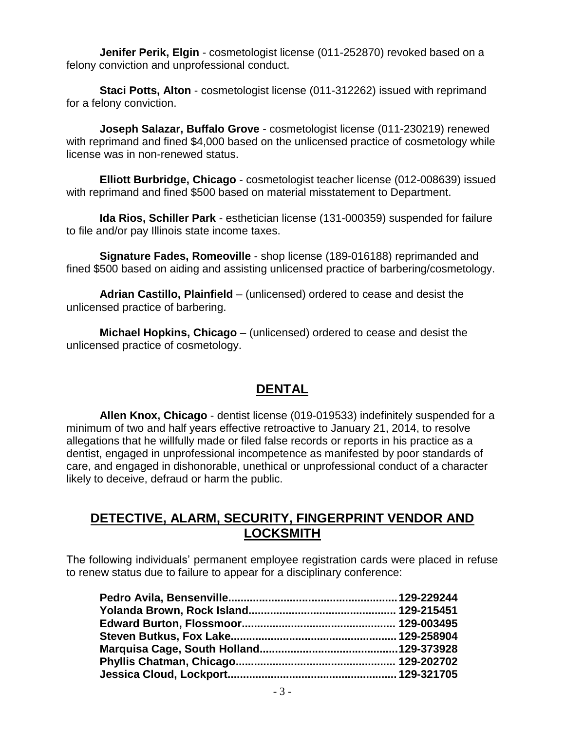**Jenifer Perik, Elgin** - cosmetologist license (011-252870) revoked based on a felony conviction and unprofessional conduct.

**Staci Potts, Alton** - cosmetologist license (011-312262) issued with reprimand for a felony conviction.

**Joseph Salazar, Buffalo Grove** - cosmetologist license (011-230219) renewed with reprimand and fined \$4,000 based on the unlicensed practice of cosmetology while license was in non-renewed status.

**Elliott Burbridge, Chicago** - cosmetologist teacher license (012-008639) issued with reprimand and fined \$500 based on material misstatement to Department.

**Ida Rios, Schiller Park** - esthetician license (131-000359) suspended for failure to file and/or pay Illinois state income taxes.

**Signature Fades, Romeoville** - shop license (189-016188) reprimanded and fined \$500 based on aiding and assisting unlicensed practice of barbering/cosmetology.

**Adrian Castillo, Plainfield** – (unlicensed) ordered to cease and desist the unlicensed practice of barbering.

**Michael Hopkins, Chicago** – (unlicensed) ordered to cease and desist the unlicensed practice of cosmetology.

#### **DENTAL**

**Allen Knox, Chicago** - dentist license (019-019533) indefinitely suspended for a minimum of two and half years effective retroactive to January 21, 2014, to resolve allegations that he willfully made or filed false records or reports in his practice as a dentist, engaged in unprofessional incompetence as manifested by poor standards of care, and engaged in dishonorable, unethical or unprofessional conduct of a character likely to deceive, defraud or harm the public.

#### **DETECTIVE, ALARM, SECURITY, FINGERPRINT VENDOR AND LOCKSMITH**

The following individuals' permanent employee registration cards were placed in refuse to renew status due to failure to appear for a disciplinary conference: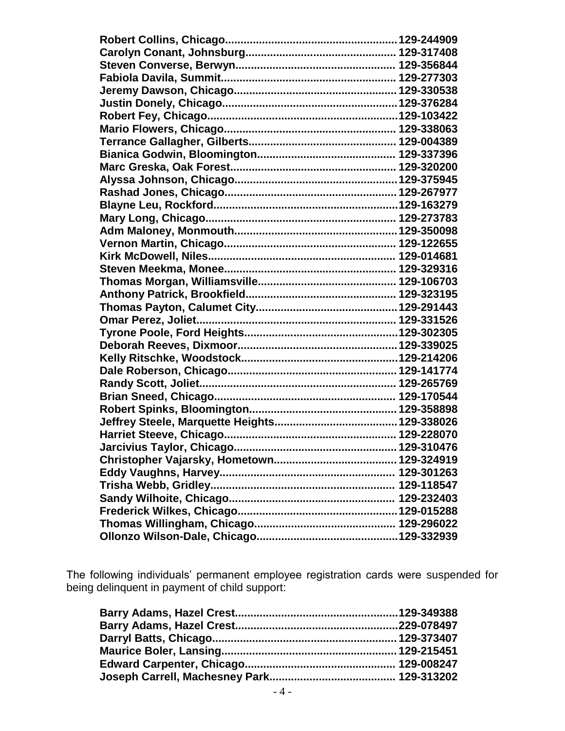The following individuals' permanent employee registration cards were suspended for being delinquent in payment of child support: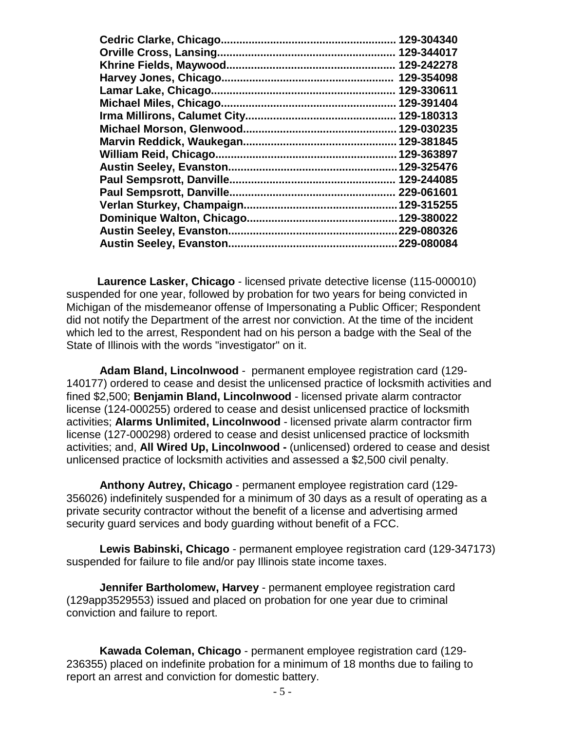| <b>Cedric Clarke, Chicago</b>    | 129-304340  |
|----------------------------------|-------------|
| <b>Orville Cross, Lansing</b>    | 129-344017  |
| Khrine Fields, Maywood           | 129-242278  |
| Harvey Jones, Chicago.           | 129-354098  |
| Lamar Lake, Chicago.             | 129-330611  |
| Michael Miles, Chicago.          | 129-391404  |
|                                  | 129-180313  |
| <b>Michael Morson, Glenwood.</b> | 129-030235  |
| Marvin Reddick, Waukegan         | 129-381845  |
| William Reid, Chicago.           | 129-363897  |
| <b>Austin Seeley, Evanston.</b>  | 129-325476  |
| Paul Sempsrott, Danville.        | 129-244085  |
| <b>Paul Sempsrott, Danville.</b> | 229-061601  |
| Verlan Sturkey, Champaign.       | 129-315255  |
|                                  |             |
| <b>Austin Seeley, Evanston.</b>  | .229-080326 |
| <b>Austin Seeley, Evanston.</b>  | 229-080084  |
|                                  |             |

 **Laurence Lasker, Chicago** - licensed private detective license (115-000010) suspended for one year, followed by probation for two years for being convicted in Michigan of the misdemeanor offense of Impersonating a Public Officer; Respondent did not notify the Department of the arrest nor conviction. At the time of the incident which led to the arrest, Respondent had on his person a badge with the Seal of the State of Illinois with the words "investigator" on it.

**Adam Bland, Lincolnwood** - permanent employee registration card (129- 140177) ordered to cease and desist the unlicensed practice of locksmith activities and fined \$2,500; **Benjamin Bland, Lincolnwood** - licensed private alarm contractor license (124-000255) ordered to cease and desist unlicensed practice of locksmith activities; **Alarms Unlimited, Lincolnwood** - licensed private alarm contractor firm license (127-000298) ordered to cease and desist unlicensed practice of locksmith activities; and, **All Wired Up, Lincolnwood -** (unlicensed) ordered to cease and desist unlicensed practice of locksmith activities and assessed a \$2,500 civil penalty.

**Anthony Autrey, Chicago** - permanent employee registration card (129- 356026) indefinitely suspended for a minimum of 30 days as a result of operating as a private security contractor without the benefit of a license and advertising armed security guard services and body guarding without benefit of a FCC.

**Lewis Babinski, Chicago** - permanent employee registration card (129-347173) suspended for failure to file and/or pay Illinois state income taxes.

**Jennifer Bartholomew, Harvey** - permanent employee registration card (129app3529553) issued and placed on probation for one year due to criminal conviction and failure to report.

**Kawada Coleman, Chicago** - permanent employee registration card (129- 236355) placed on indefinite probation for a minimum of 18 months due to failing to report an arrest and conviction for domestic battery.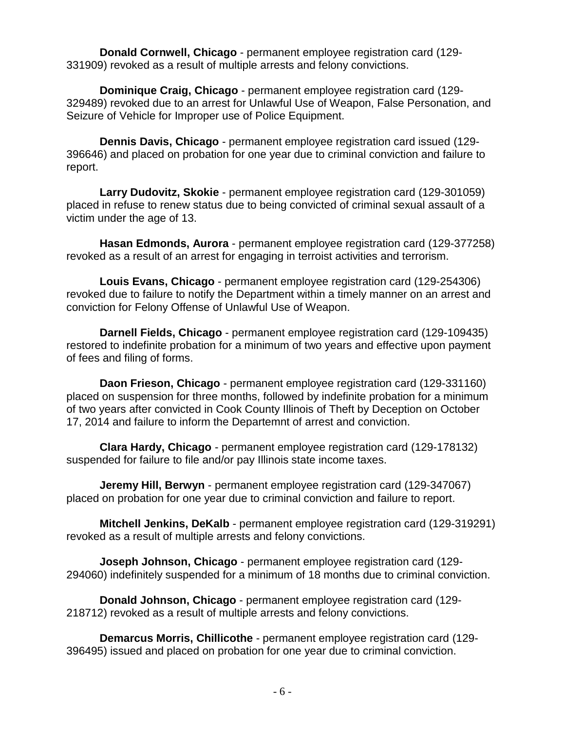**Donald Cornwell, Chicago** - permanent employee registration card (129- 331909) revoked as a result of multiple arrests and felony convictions.

**Dominique Craig, Chicago** - permanent employee registration card (129- 329489) revoked due to an arrest for Unlawful Use of Weapon, False Personation, and Seizure of Vehicle for Improper use of Police Equipment.

**Dennis Davis, Chicago** - permanent employee registration card issued (129- 396646) and placed on probation for one year due to criminal conviction and failure to report.

**Larry Dudovitz, Skokie** - permanent employee registration card (129-301059) placed in refuse to renew status due to being convicted of criminal sexual assault of a victim under the age of 13.

**Hasan Edmonds, Aurora** - permanent employee registration card (129-377258) revoked as a result of an arrest for engaging in terroist activities and terrorism.

**Louis Evans, Chicago** - permanent employee registration card (129-254306) revoked due to failure to notify the Department within a timely manner on an arrest and conviction for Felony Offense of Unlawful Use of Weapon.

**Darnell Fields, Chicago** - permanent employee registration card (129-109435) restored to indefinite probation for a minimum of two years and effective upon payment of fees and filing of forms.

**Daon Frieson, Chicago** - permanent employee registration card (129-331160) placed on suspension for three months, followed by indefinite probation for a minimum of two years after convicted in Cook County Illinois of Theft by Deception on October 17, 2014 and failure to inform the Departemnt of arrest and conviction.

**Clara Hardy, Chicago** - permanent employee registration card (129-178132) suspended for failure to file and/or pay Illinois state income taxes.

**Jeremy Hill, Berwyn** - permanent employee registration card (129-347067) placed on probation for one year due to criminal conviction and failure to report.

**Mitchell Jenkins, DeKalb** - permanent employee registration card (129-319291) revoked as a result of multiple arrests and felony convictions.

**Joseph Johnson, Chicago** - permanent employee registration card (129- 294060) indefinitely suspended for a minimum of 18 months due to criminal conviction.

**Donald Johnson, Chicago** - permanent employee registration card (129- 218712) revoked as a result of multiple arrests and felony convictions.

**Demarcus Morris, Chillicothe** - permanent employee registration card (129- 396495) issued and placed on probation for one year due to criminal conviction.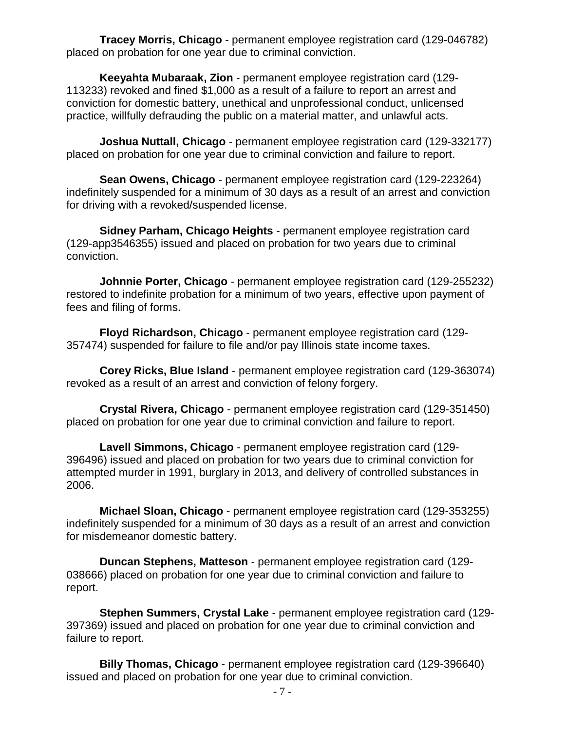**Tracey Morris, Chicago** - permanent employee registration card (129-046782) placed on probation for one year due to criminal conviction.

**Keeyahta Mubaraak, Zion** - permanent employee registration card (129- 113233) revoked and fined \$1,000 as a result of a failure to report an arrest and conviction for domestic battery, unethical and unprofessional conduct, unlicensed practice, willfully defrauding the public on a material matter, and unlawful acts.

**Joshua Nuttall, Chicago** - permanent employee registration card (129-332177) placed on probation for one year due to criminal conviction and failure to report.

**Sean Owens, Chicago** - permanent employee registration card (129-223264) indefinitely suspended for a minimum of 30 days as a result of an arrest and conviction for driving with a revoked/suspended license.

**Sidney Parham, Chicago Heights** - permanent employee registration card (129-app3546355) issued and placed on probation for two years due to criminal conviction.

**Johnnie Porter, Chicago** - permanent employee registration card (129-255232) restored to indefinite probation for a minimum of two years, effective upon payment of fees and filing of forms.

**Floyd Richardson, Chicago** - permanent employee registration card (129- 357474) suspended for failure to file and/or pay Illinois state income taxes.

**Corey Ricks, Blue Island** - permanent employee registration card (129-363074) revoked as a result of an arrest and conviction of felony forgery.

**Crystal Rivera, Chicago** - permanent employee registration card (129-351450) placed on probation for one year due to criminal conviction and failure to report.

**Lavell Simmons, Chicago** - permanent employee registration card (129- 396496) issued and placed on probation for two years due to criminal conviction for attempted murder in 1991, burglary in 2013, and delivery of controlled substances in 2006.

**Michael Sloan, Chicago** - permanent employee registration card (129-353255) indefinitely suspended for a minimum of 30 days as a result of an arrest and conviction for misdemeanor domestic battery.

**Duncan Stephens, Matteson** - permanent employee registration card (129- 038666) placed on probation for one year due to criminal conviction and failure to report.

**Stephen Summers, Crystal Lake** - permanent employee registration card (129- 397369) issued and placed on probation for one year due to criminal conviction and failure to report.

**Billy Thomas, Chicago** - permanent employee registration card (129-396640) issued and placed on probation for one year due to criminal conviction.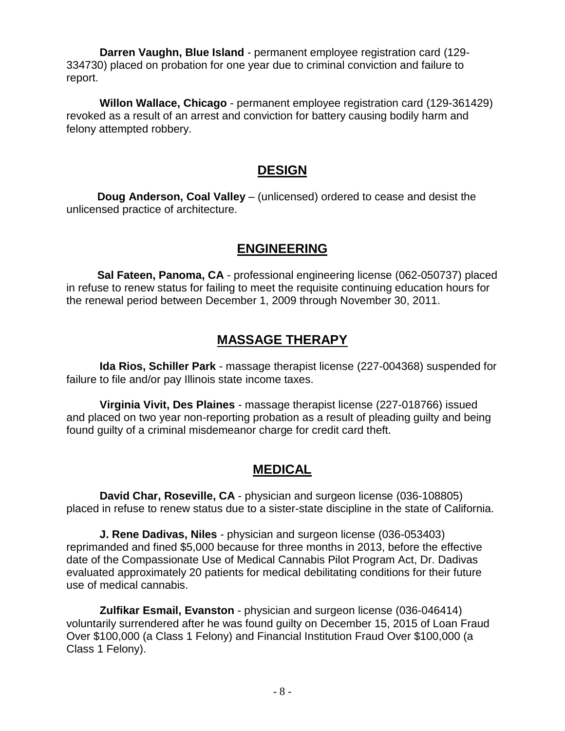**Darren Vaughn, Blue Island** - permanent employee registration card (129- 334730) placed on probation for one year due to criminal conviction and failure to report.

**Willon Wallace, Chicago** - permanent employee registration card (129-361429) revoked as a result of an arrest and conviction for battery causing bodily harm and felony attempted robbery.

#### **DESIGN**

 **Doug Anderson, Coal Valley** – (unlicensed) ordered to cease and desist the unlicensed practice of architecture.

#### **ENGINEERING**

 **Sal Fateen, Panoma, CA** - professional engineering license (062-050737) placed in refuse to renew status for failing to meet the requisite continuing education hours for the renewal period between December 1, 2009 through November 30, 2011.

#### **MASSAGE THERAPY**

**Ida Rios, Schiller Park** - massage therapist license (227-004368) suspended for failure to file and/or pay Illinois state income taxes.

**Virginia Vivit, Des Plaines** - massage therapist license (227-018766) issued and placed on two year non-reporting probation as a result of pleading guilty and being found guilty of a criminal misdemeanor charge for credit card theft.

### **MEDICAL**

**David Char, Roseville, CA** - physician and surgeon license (036-108805) placed in refuse to renew status due to a sister-state discipline in the state of California.

**J. Rene Dadivas, Niles** - physician and surgeon license (036-053403) reprimanded and fined \$5,000 because for three months in 2013, before the effective date of the Compassionate Use of Medical Cannabis Pilot Program Act, Dr. Dadivas evaluated approximately 20 patients for medical debilitating conditions for their future use of medical cannabis.

**Zulfikar Esmail, Evanston** - physician and surgeon license (036-046414) voluntarily surrendered after he was found guilty on December 15, 2015 of Loan Fraud Over \$100,000 (a Class 1 Felony) and Financial Institution Fraud Over \$100,000 (a Class 1 Felony).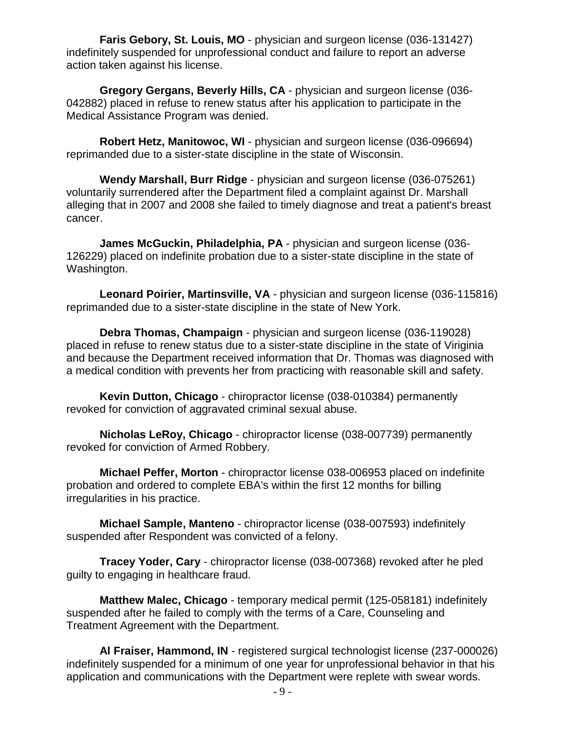**Faris Gebory, St. Louis, MO** - physician and surgeon license (036-131427) indefinitely suspended for unprofessional conduct and failure to report an adverse action taken against his license.

**Gregory Gergans, Beverly Hills, CA** - physician and surgeon license (036- 042882) placed in refuse to renew status after his application to participate in the Medical Assistance Program was denied.

**Robert Hetz, Manitowoc, WI** - physician and surgeon license (036-096694) reprimanded due to a sister-state discipline in the state of Wisconsin.

**Wendy Marshall, Burr Ridge** - physician and surgeon license (036-075261) voluntarily surrendered after the Department filed a complaint against Dr. Marshall alleging that in 2007 and 2008 she failed to timely diagnose and treat a patient's breast cancer.

**James McGuckin, Philadelphia, PA** - physician and surgeon license (036- 126229) placed on indefinite probation due to a sister-state discipline in the state of Washington.

**Leonard Poirier, Martinsville, VA** - physician and surgeon license (036-115816) reprimanded due to a sister-state discipline in the state of New York.

**Debra Thomas, Champaign** - physician and surgeon license (036-119028) placed in refuse to renew status due to a sister-state discipline in the state of Viriginia and because the Department received information that Dr. Thomas was diagnosed with a medical condition with prevents her from practicing with reasonable skill and safety.

**Kevin Dutton, Chicago** - chiropractor license (038-010384) permanently revoked for conviction of aggravated criminal sexual abuse.

**Nicholas LeRoy, Chicago** - chiropractor license (038-007739) permanently revoked for conviction of Armed Robbery.

**Michael Peffer, Morton** - chiropractor license 038-006953 placed on indefinite probation and ordered to complete EBA's within the first 12 months for billing irregularities in his practice.

**Michael Sample, Manteno** - chiropractor license (038-007593) indefinitely suspended after Respondent was convicted of a felony.

**Tracey Yoder, Cary** - chiropractor license (038-007368) revoked after he pled guilty to engaging in healthcare fraud.

**Matthew Malec, Chicago** - temporary medical permit (125-058181) indefinitely suspended after he failed to comply with the terms of a Care, Counseling and Treatment Agreement with the Department.

**Al Fraiser, Hammond, IN** - registered surgical technologist license (237-000026) indefinitely suspended for a minimum of one year for unprofessional behavior in that his application and communications with the Department were replete with swear words.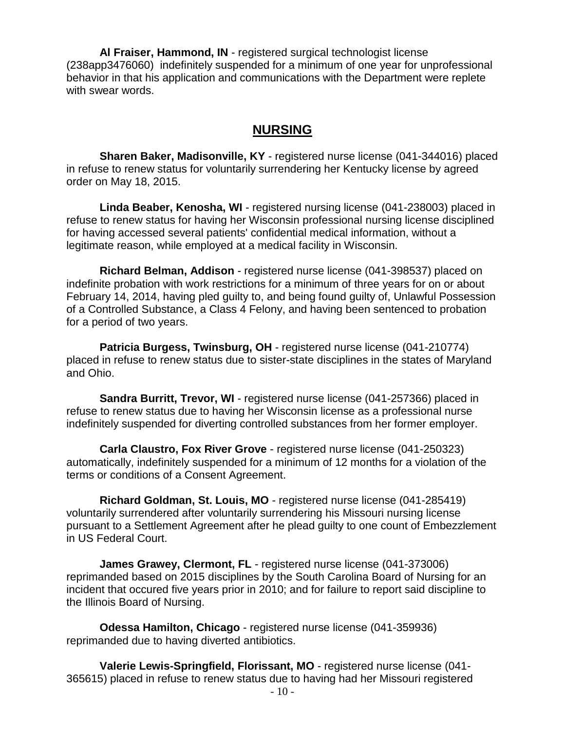**Al Fraiser, Hammond, IN** - registered surgical technologist license (238app3476060) indefinitely suspended for a minimum of one year for unprofessional behavior in that his application and communications with the Department were replete with swear words.

#### **NURSING**

**Sharen Baker, Madisonville, KY** - registered nurse license (041-344016) placed in refuse to renew status for voluntarily surrendering her Kentucky license by agreed order on May 18, 2015.

**Linda Beaber, Kenosha, WI** - registered nursing license (041-238003) placed in refuse to renew status for having her Wisconsin professional nursing license disciplined for having accessed several patients' confidential medical information, without a legitimate reason, while employed at a medical facility in Wisconsin.

**Richard Belman, Addison** - registered nurse license (041-398537) placed on indefinite probation with work restrictions for a minimum of three years for on or about February 14, 2014, having pled guilty to, and being found guilty of, Unlawful Possession of a Controlled Substance, a Class 4 Felony, and having been sentenced to probation for a period of two years.

**Patricia Burgess, Twinsburg, OH** - registered nurse license (041-210774) placed in refuse to renew status due to sister-state disciplines in the states of Maryland and Ohio.

**Sandra Burritt, Trevor, WI** - registered nurse license (041-257366) placed in refuse to renew status due to having her Wisconsin license as a professional nurse indefinitely suspended for diverting controlled substances from her former employer.

**Carla Claustro, Fox River Grove** - registered nurse license (041-250323) automatically, indefinitely suspended for a minimum of 12 months for a violation of the terms or conditions of a Consent Agreement.

**Richard Goldman, St. Louis, MO** - registered nurse license (041-285419) voluntarily surrendered after voluntarily surrendering his Missouri nursing license pursuant to a Settlement Agreement after he plead guilty to one count of Embezzlement in US Federal Court.

**James Grawey, Clermont, FL** - registered nurse license (041-373006) reprimanded based on 2015 disciplines by the South Carolina Board of Nursing for an incident that occured five years prior in 2010; and for failure to report said discipline to the Illinois Board of Nursing.

**Odessa Hamilton, Chicago** - registered nurse license (041-359936) reprimanded due to having diverted antibiotics.

**Valerie Lewis-Springfield, Florissant, MO** - registered nurse license (041- 365615) placed in refuse to renew status due to having had her Missouri registered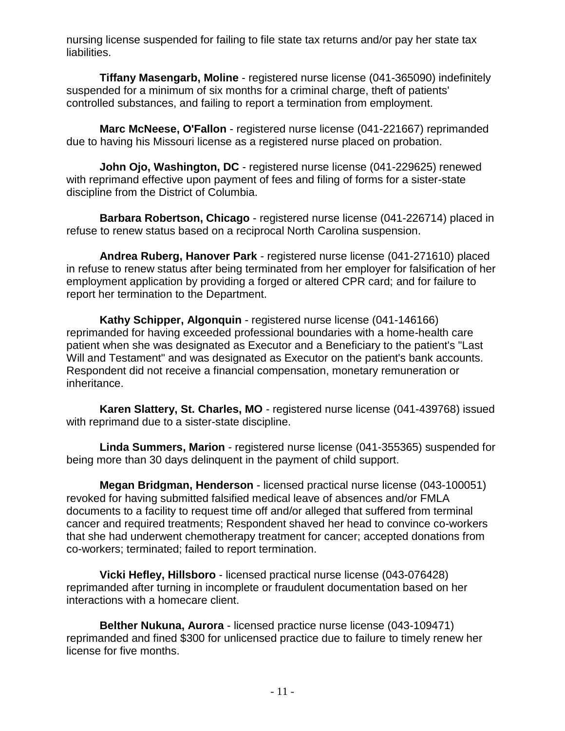nursing license suspended for failing to file state tax returns and/or pay her state tax liabilities.

**Tiffany Masengarb, Moline** - registered nurse license (041-365090) indefinitely suspended for a minimum of six months for a criminal charge, theft of patients' controlled substances, and failing to report a termination from employment.

**Marc McNeese, O'Fallon** - registered nurse license (041-221667) reprimanded due to having his Missouri license as a registered nurse placed on probation.

**John Ojo, Washington, DC** - registered nurse license (041-229625) renewed with reprimand effective upon payment of fees and filing of forms for a sister-state discipline from the District of Columbia.

**Barbara Robertson, Chicago** - registered nurse license (041-226714) placed in refuse to renew status based on a reciprocal North Carolina suspension.

**Andrea Ruberg, Hanover Park** - registered nurse license (041-271610) placed in refuse to renew status after being terminated from her employer for falsification of her employment application by providing a forged or altered CPR card; and for failure to report her termination to the Department.

**Kathy Schipper, Algonquin** - registered nurse license (041-146166) reprimanded for having exceeded professional boundaries with a home-health care patient when she was designated as Executor and a Beneficiary to the patient's "Last Will and Testament" and was designated as Executor on the patient's bank accounts. Respondent did not receive a financial compensation, monetary remuneration or inheritance.

**Karen Slattery, St. Charles, MO** - registered nurse license (041-439768) issued with reprimand due to a sister-state discipline.

**Linda Summers, Marion** - registered nurse license (041-355365) suspended for being more than 30 days delinquent in the payment of child support.

**Megan Bridgman, Henderson** - licensed practical nurse license (043-100051) revoked for having submitted falsified medical leave of absences and/or FMLA documents to a facility to request time off and/or alleged that suffered from terminal cancer and required treatments; Respondent shaved her head to convince co-workers that she had underwent chemotherapy treatment for cancer; accepted donations from co-workers; terminated; failed to report termination.

**Vicki Hefley, Hillsboro** - licensed practical nurse license (043-076428) reprimanded after turning in incomplete or fraudulent documentation based on her interactions with a homecare client.

**Belther Nukuna, Aurora** - licensed practice nurse license (043-109471) reprimanded and fined \$300 for unlicensed practice due to failure to timely renew her license for five months.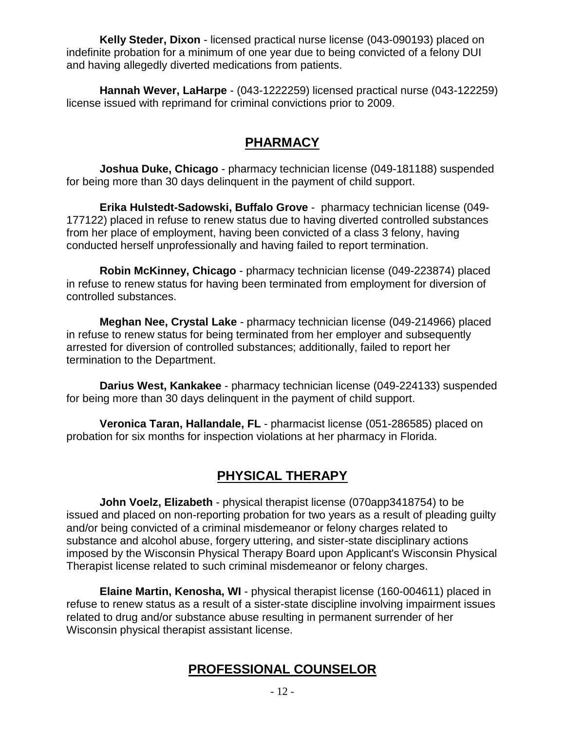**Kelly Steder, Dixon** - licensed practical nurse license (043-090193) placed on indefinite probation for a minimum of one year due to being convicted of a felony DUI and having allegedly diverted medications from patients.

**Hannah Wever, LaHarpe** - (043-1222259) licensed practical nurse (043-122259) license issued with reprimand for criminal convictions prior to 2009.

### **PHARMACY**

**Joshua Duke, Chicago** - pharmacy technician license (049-181188) suspended for being more than 30 days delinquent in the payment of child support.

**Erika Hulstedt-Sadowski, Buffalo Grove** - pharmacy technician license (049- 177122) placed in refuse to renew status due to having diverted controlled substances from her place of employment, having been convicted of a class 3 felony, having conducted herself unprofessionally and having failed to report termination.

**Robin McKinney, Chicago** - pharmacy technician license (049-223874) placed in refuse to renew status for having been terminated from employment for diversion of controlled substances.

**Meghan Nee, Crystal Lake** - pharmacy technician license (049-214966) placed in refuse to renew status for being terminated from her employer and subsequently arrested for diversion of controlled substances; additionally, failed to report her termination to the Department.

**Darius West, Kankakee** - pharmacy technician license (049-224133) suspended for being more than 30 days delinquent in the payment of child support.

**Veronica Taran, Hallandale, FL** - pharmacist license (051-286585) placed on probation for six months for inspection violations at her pharmacy in Florida.

## **PHYSICAL THERAPY**

**John Voelz, Elizabeth** - physical therapist license (070app3418754) to be issued and placed on non-reporting probation for two years as a result of pleading guilty and/or being convicted of a criminal misdemeanor or felony charges related to substance and alcohol abuse, forgery uttering, and sister-state disciplinary actions imposed by the Wisconsin Physical Therapy Board upon Applicant's Wisconsin Physical Therapist license related to such criminal misdemeanor or felony charges.

**Elaine Martin, Kenosha, WI** - physical therapist license (160-004611) placed in refuse to renew status as a result of a sister-state discipline involving impairment issues related to drug and/or substance abuse resulting in permanent surrender of her Wisconsin physical therapist assistant license.

### **PROFESSIONAL COUNSELOR**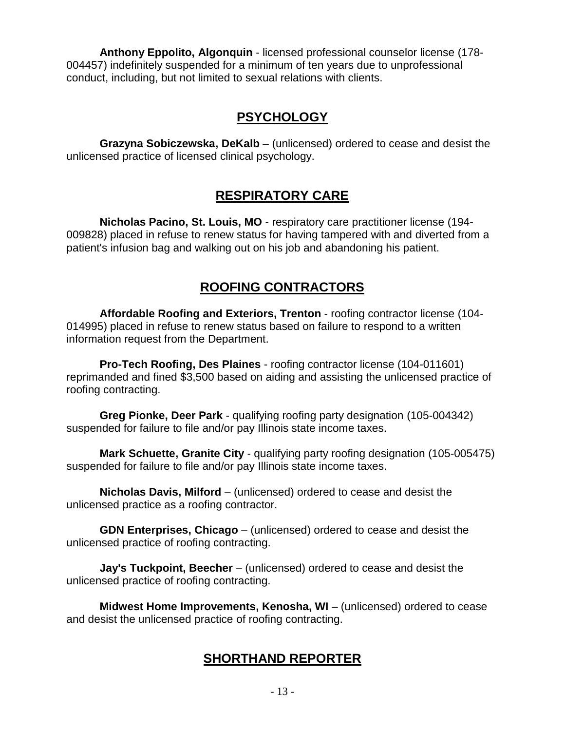**Anthony Eppolito, Algonquin** - licensed professional counselor license (178- 004457) indefinitely suspended for a minimum of ten years due to unprofessional conduct, including, but not limited to sexual relations with clients.

## **PSYCHOLOGY**

**Grazyna Sobiczewska, DeKalb** – (unlicensed) ordered to cease and desist the unlicensed practice of licensed clinical psychology.

#### **RESPIRATORY CARE**

**Nicholas Pacino, St. Louis, MO** - respiratory care practitioner license (194- 009828) placed in refuse to renew status for having tampered with and diverted from a patient's infusion bag and walking out on his job and abandoning his patient.

### **ROOFING CONTRACTORS**

**Affordable Roofing and Exteriors, Trenton** - roofing contractor license (104- 014995) placed in refuse to renew status based on failure to respond to a written information request from the Department.

**Pro-Tech Roofing, Des Plaines** - roofing contractor license (104-011601) reprimanded and fined \$3,500 based on aiding and assisting the unlicensed practice of roofing contracting.

**Greg Pionke, Deer Park** - qualifying roofing party designation (105-004342) suspended for failure to file and/or pay Illinois state income taxes.

**Mark Schuette, Granite City** - qualifying party roofing designation (105-005475) suspended for failure to file and/or pay Illinois state income taxes.

**Nicholas Davis, Milford** – (unlicensed) ordered to cease and desist the unlicensed practice as a roofing contractor.

**GDN Enterprises, Chicago** – (unlicensed) ordered to cease and desist the unlicensed practice of roofing contracting.

**Jay's Tuckpoint, Beecher** – (unlicensed) ordered to cease and desist the unlicensed practice of roofing contracting.

**Midwest Home Improvements, Kenosha, WI** – (unlicensed) ordered to cease and desist the unlicensed practice of roofing contracting.

## **SHORTHAND REPORTER**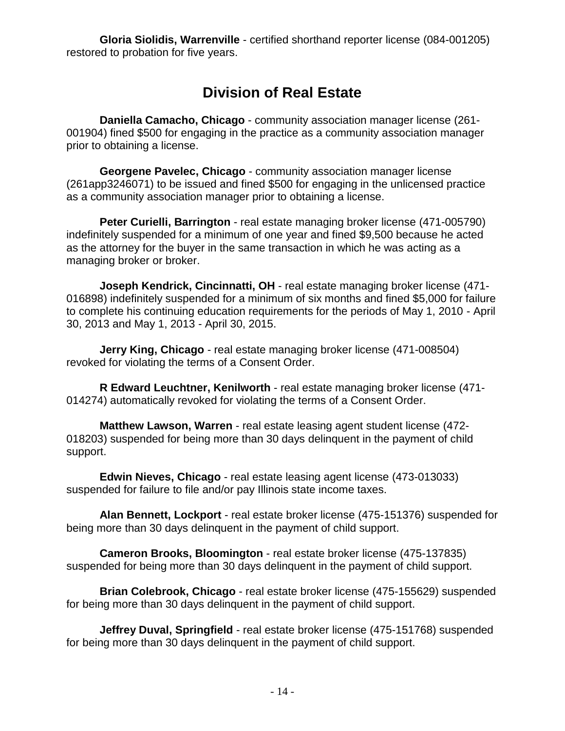**Gloria Siolidis, Warrenville** - certified shorthand reporter license (084-001205) restored to probation for five years.

## **Division of Real Estate**

**Daniella Camacho, Chicago** - community association manager license (261- 001904) fined \$500 for engaging in the practice as a community association manager prior to obtaining a license.

**Georgene Pavelec, Chicago** - community association manager license (261app3246071) to be issued and fined \$500 for engaging in the unlicensed practice as a community association manager prior to obtaining a license.

**Peter Curielli, Barrington** - real estate managing broker license (471-005790) indefinitely suspended for a minimum of one year and fined \$9,500 because he acted as the attorney for the buyer in the same transaction in which he was acting as a managing broker or broker.

**Joseph Kendrick, Cincinnatti, OH** - real estate managing broker license (471- 016898) indefinitely suspended for a minimum of six months and fined \$5,000 for failure to complete his continuing education requirements for the periods of May 1, 2010 - April 30, 2013 and May 1, 2013 - April 30, 2015.

**Jerry King, Chicago** - real estate managing broker license (471-008504) revoked for violating the terms of a Consent Order.

**R Edward Leuchtner, Kenilworth** - real estate managing broker license (471- 014274) automatically revoked for violating the terms of a Consent Order.

**Matthew Lawson, Warren** - real estate leasing agent student license (472- 018203) suspended for being more than 30 days delinquent in the payment of child support.

**Edwin Nieves, Chicago** - real estate leasing agent license (473-013033) suspended for failure to file and/or pay Illinois state income taxes.

**Alan Bennett, Lockport** - real estate broker license (475-151376) suspended for being more than 30 days delinquent in the payment of child support.

**Cameron Brooks, Bloomington** - real estate broker license (475-137835) suspended for being more than 30 days delinquent in the payment of child support.

**Brian Colebrook, Chicago** - real estate broker license (475-155629) suspended for being more than 30 days delinquent in the payment of child support.

**Jeffrey Duval, Springfield** - real estate broker license (475-151768) suspended for being more than 30 days delinquent in the payment of child support.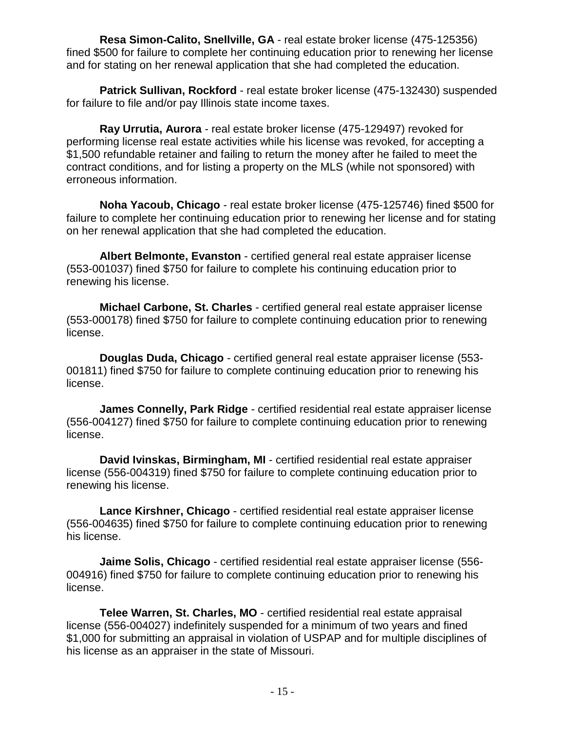**Resa Simon-Calito, Snellville, GA** - real estate broker license (475-125356) fined \$500 for failure to complete her continuing education prior to renewing her license and for stating on her renewal application that she had completed the education.

**Patrick Sullivan, Rockford** - real estate broker license (475-132430) suspended for failure to file and/or pay Illinois state income taxes.

**Ray Urrutia, Aurora** - real estate broker license (475-129497) revoked for performing license real estate activities while his license was revoked, for accepting a \$1,500 refundable retainer and failing to return the money after he failed to meet the contract conditions, and for listing a property on the MLS (while not sponsored) with erroneous information.

**Noha Yacoub, Chicago** - real estate broker license (475-125746) fined \$500 for failure to complete her continuing education prior to renewing her license and for stating on her renewal application that she had completed the education.

**Albert Belmonte, Evanston** - certified general real estate appraiser license (553-001037) fined \$750 for failure to complete his continuing education prior to renewing his license.

**Michael Carbone, St. Charles** - certified general real estate appraiser license (553-000178) fined \$750 for failure to complete continuing education prior to renewing license.

**Douglas Duda, Chicago** - certified general real estate appraiser license (553- 001811) fined \$750 for failure to complete continuing education prior to renewing his license.

**James Connelly, Park Ridge** - certified residential real estate appraiser license (556-004127) fined \$750 for failure to complete continuing education prior to renewing license.

**David Ivinskas, Birmingham, MI** - certified residential real estate appraiser license (556-004319) fined \$750 for failure to complete continuing education prior to renewing his license.

**Lance Kirshner, Chicago** - certified residential real estate appraiser license (556-004635) fined \$750 for failure to complete continuing education prior to renewing his license.

**Jaime Solis, Chicago** - certified residential real estate appraiser license (556- 004916) fined \$750 for failure to complete continuing education prior to renewing his license.

**Telee Warren, St. Charles, MO** - certified residential real estate appraisal license (556-004027) indefinitely suspended for a minimum of two years and fined \$1,000 for submitting an appraisal in violation of USPAP and for multiple disciplines of his license as an appraiser in the state of Missouri.